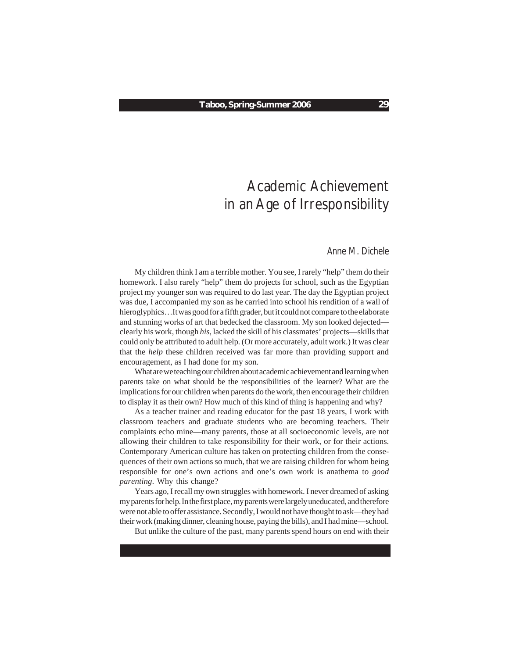# Academic Achievement in an Age of Irresponsibility

## *Anne M. Dichele*

My children think I am a terrible mother. You see, I rarely "help" them do their homework. I also rarely "help" them do projects for school, such as the Egyptian project my younger son was required to do last year. The day the Egyptian project was due, I accompanied my son as he carried into school his rendition of a wall of hieroglyphics…It was good for a fifth grader, but it could not compare to the elaborate and stunning works of art that bedecked the classroom. My son looked dejected clearly his work, though *his*, lacked the skill of his classmates' projects—skills that could only be attributed to adult help*.* (Or more accurately, adult work.) It was clear that the *help* these children received was far more than providing support and encouragement, as I had done for my son.

What are we teaching our children about academic achievement and learning when parents take on what should be the responsibilities of the learner? What are the implications for our children when parents do the work, then encourage their children to display it as their own? How much of this kind of thing is happening and why?

As a teacher trainer and reading educator for the past 18 years, I work with classroom teachers and graduate students who are becoming teachers. Their complaints echo mine—many parents, those at all socioeconomic levels, are not allowing their children to take responsibility for their work, or for their actions. Contemporary American culture has taken on protecting children from the consequences of their own actions so much, that we are raising children for whom being responsible for one's own actions and one's own work is anathema to *good parenting*. Why this change?

Years ago, I recall my own struggles with homework. I never dreamed of asking my parents for help. In the first place, my parents were largely uneducated, and therefore were not able to offer assistance. Secondly, I would not have thought to ask—they had their work (making dinner, cleaning house, paying the bills), and I had mine—school.

But unlike the culture of the past, many parents spend hours on end with their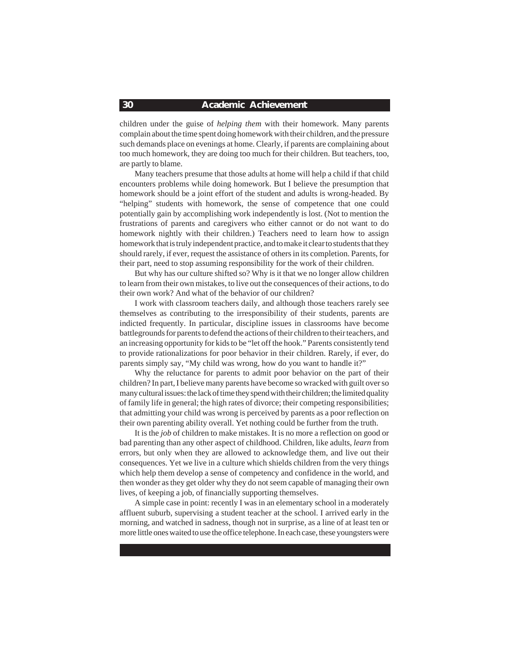#### **30 Academic Achievement**

children under the guise of *helping them* with their homework. Many parents complain about the time spent doing homework with their children, and the pressure such demands place on evenings at home. Clearly, if parents are complaining about too much homework, they are doing too much for their children. But teachers, too, are partly to blame.

Many teachers presume that those adults at home will help a child if that child encounters problems while doing homework. But I believe the presumption that homework should be a joint effort of the student and adults is wrong-headed. By "helping" students with homework, the sense of competence that one could potentially gain by accomplishing work independently is lost. (Not to mention the frustrations of parents and caregivers who either cannot or do not want to do homework nightly with their children.) Teachers need to learn how to assign homework that is truly independent practice, and to make it clear to students that they should rarely, if ever, request the assistance of others in its completion. Parents, for their part, need to stop assuming responsibility for the work of their children.

But why has our culture shifted so? Why is it that we no longer allow children to learn from their own mistakes, to live out the consequences of their actions, to do their own work? And what of the behavior of our children?

I work with classroom teachers daily, and although those teachers rarely see themselves as contributing to the irresponsibility of their students, parents are indicted frequently. In particular, discipline issues in classrooms have become battlegrounds for parents to defend the actions of their children to their teachers, and an increasing opportunity for kids to be "let off the hook." Parents consistently tend to provide rationalizations for poor behavior in their children. Rarely, if ever, do parents simply say, "My child was wrong, how do you want to handle it?"

Why the reluctance for parents to admit poor behavior on the part of their children? In part, I believe many parents have become so wracked with guilt over so many cultural issues: the lack of time they spend with their children; the limited quality of family life in general; the high rates of divorce; their competing responsibilities; that admitting your child was wrong is perceived by parents as a poor reflection on their own parenting ability overall. Yet nothing could be further from the truth.

It is the *job* of children to make mistakes. It is no more a reflection on good or bad parenting than any other aspect of childhood. Children, like adults, *learn* from errors, but only when they are allowed to acknowledge them, and live out their consequences. Yet we live in a culture which shields children from the very things which help them develop a sense of competency and confidence in the world, and then wonder as they get older why they do not seem capable of managing their own lives, of keeping a job, of financially supporting themselves.

A simple case in point: recently I was in an elementary school in a moderately affluent suburb, supervising a student teacher at the school. I arrived early in the morning, and watched in sadness, though not in surprise, as a line of at least ten or more little ones waited to use the office telephone. In each case, these youngsters were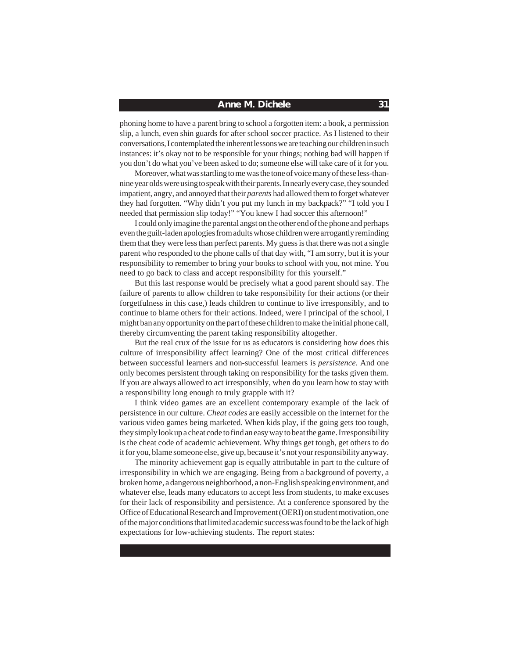#### **Anne M. Dichele 31**

phoning home to have a parent bring to school a forgotten item: a book, a permission slip, a lunch, even shin guards for after school soccer practice. As I listened to their conversations, I contemplated the inherent lessons we are teaching our children in such instances: it's okay not to be responsible for your things; nothing bad will happen if you don't do what you've been asked to do; someone else will take care of it for you.

Moreover, what was startling to me was the tone of voice many of these less-thannine year olds were using to speak with their parents. In nearly every case, they sounded impatient, angry, and annoyed that their *parents* had allowed them to forget whatever they had forgotten. "Why didn't you put my lunch in my backpack?" "I told you I needed that permission slip today!" "You knew I had soccer this afternoon!"

I could only imagine the parental angst on the other end of the phone and perhaps even the guilt-laden apologies from adults whose children were arrogantly reminding them that they were less than perfect parents. My guess is that there was not a single parent who responded to the phone calls of that day with, "I am sorry, but it is your responsibility to remember to bring your books to school with you, not mine. You need to go back to class and accept responsibility for this yourself."

But this last response would be precisely what a good parent should say. The failure of parents to allow children to take responsibility for their actions (or their forgetfulness in this case,) leads children to continue to live irresponsibly, and to continue to blame others for their actions. Indeed, were I principal of the school, I might ban any opportunity on the part of these children to make the initial phone call, thereby circumventing the parent taking responsibility altogether.

But the real crux of the issue for us as educators is considering how does this culture of irresponsibility affect learning? One of the most critical differences between successful learners and non-successful learners is *persistence*. And one only becomes persistent through taking on responsibility for the tasks given them. If you are always allowed to act irresponsibly, when do you learn how to stay with a responsibility long enough to truly grapple with it?

I think video games are an excellent contemporary example of the lack of persistence in our culture. *Cheat codes* are easily accessible on the internet for the various video games being marketed. When kids play, if the going gets too tough, they simply look up a cheat code to find an easy way to beat the game. Irresponsibility is the cheat code of academic achievement. Why things get tough, get others to do it for you, blame someone else, give up, because it's not your responsibility anyway.

The minority achievement gap is equally attributable in part to the culture of irresponsibility in which we are engaging. Being from a background of poverty, a broken home, a dangerous neighborhood, a non-English speaking environment, and whatever else, leads many educators to accept less from students, to make excuses for their lack of responsibility and persistence. At a conference sponsored by the Office of Educational Research and Improvement (OERI) on student motivation, one of the major conditions that limited academic success was found to be the lack of high expectations for low-achieving students. The report states: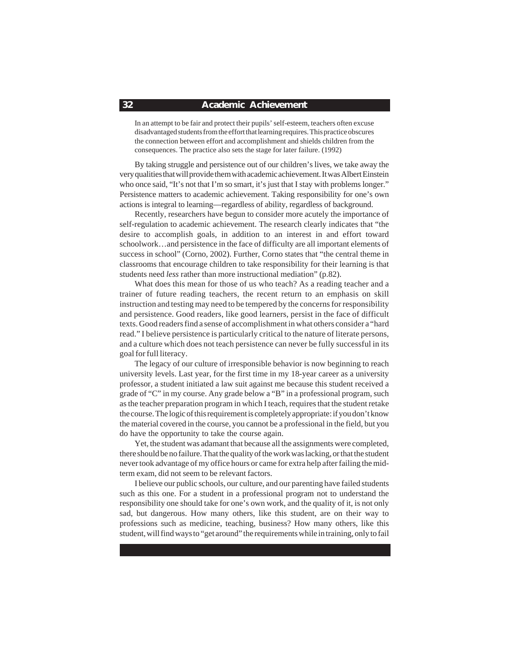### **32 Academic Achievement**

In an attempt to be fair and protect their pupils' self-esteem, teachers often excuse disadvantaged students from the effort that learning requires. This practice obscures the connection between effort and accomplishment and shields children from the consequences. The practice also sets the stage for later failure. (1992)

By taking struggle and persistence out of our children's lives, we take away the very qualities that will provide them with academic achievement. It was Albert Einstein who once said, "It's not that I'm so smart, it's just that I stay with problems longer." Persistence matters to academic achievement. Taking responsibility for one's own actions is integral to learning—regardless of ability, regardless of background.

Recently, researchers have begun to consider more acutely the importance of self-regulation to academic achievement. The research clearly indicates that "the desire to accomplish goals, in addition to an interest in and effort toward schoolwork…and persistence in the face of difficulty are all important elements of success in school" (Corno, 2002). Further, Corno states that "the central theme in classrooms that encourage children to take responsibility for their learning is that students need *less* rather than more instructional mediation" (p.82).

What does this mean for those of us who teach? As a reading teacher and a trainer of future reading teachers, the recent return to an emphasis on skill instruction and testing may need to be tempered by the concerns for responsibility and persistence. Good readers, like good learners, persist in the face of difficult texts. Good readers find a sense of accomplishment in what others consider a "hard read." I believe persistence is particularly critical to the nature of literate persons, and a culture which does not teach persistence can never be fully successful in its goal for full literacy.

The legacy of our culture of irresponsible behavior is now beginning to reach university levels. Last year, for the first time in my 18-year career as a university professor, a student initiated a law suit against me because this student received a grade of "C" in my course. Any grade below a "B" in a professional program, such as the teacher preparation program in which I teach, requires that the student retake the course. The logic of this requirement is completely appropriate: if you don't know the material covered in the course, you cannot be a professional in the field, but you do have the opportunity to take the course again.

Yet, the student was adamant that because all the assignments were completed, there should be no failure. That the quality of the work was lacking, or that the student never took advantage of my office hours or came for extra help after failing the midterm exam, did not seem to be relevant factors.

I believe our public schools, our culture, and our parenting have failed students such as this one. For a student in a professional program not to understand the responsibility one should take for one's own work, and the quality of it, is not only sad, but dangerous. How many others, like this student, are on their way to professions such as medicine, teaching, business? How many others, like this student, will find ways to "get around" the requirements while in training, only to fail